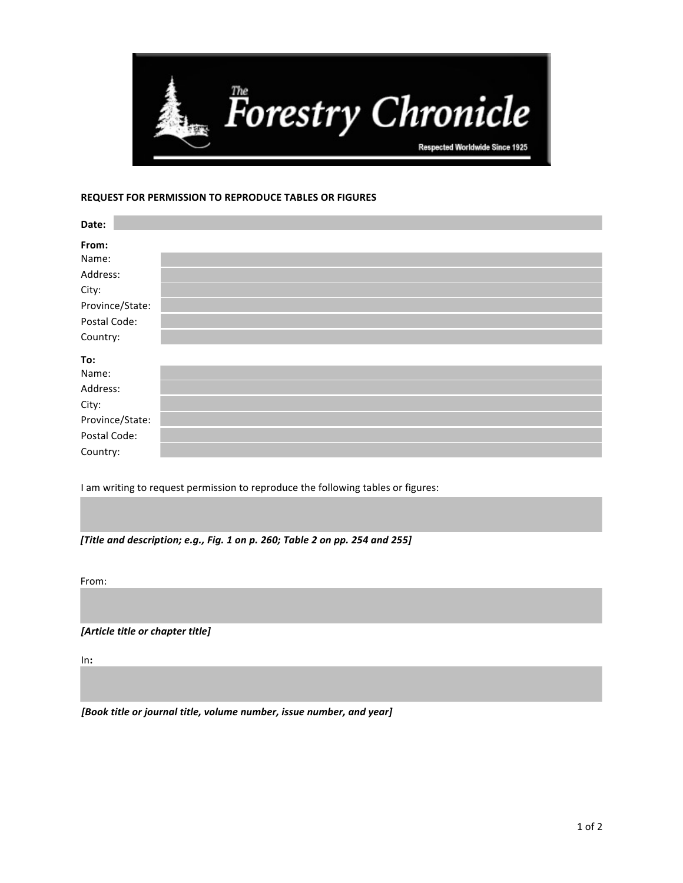

## **REQUEST FOR PERMISSION TO REPRODUCE TABLES OR FIGURES**

| Date:           |  |
|-----------------|--|
| From:           |  |
| Name:           |  |
| Address:        |  |
| City:           |  |
| Province/State: |  |
| Postal Code:    |  |
| Country:        |  |
| To:             |  |
| Name:           |  |
| Address:        |  |
| City:           |  |
| Province/State: |  |
| Postal Code:    |  |
| Country:        |  |

I am writing to request permission to reproduce the following tables or figures:

[Title and description; e.g., Fig. 1 on p. 260; Table 2 on pp. 254 and 255]

From: 

*[Article title or chapter title]*

In**:** 

[Book title or journal title, volume number, issue number, and year]